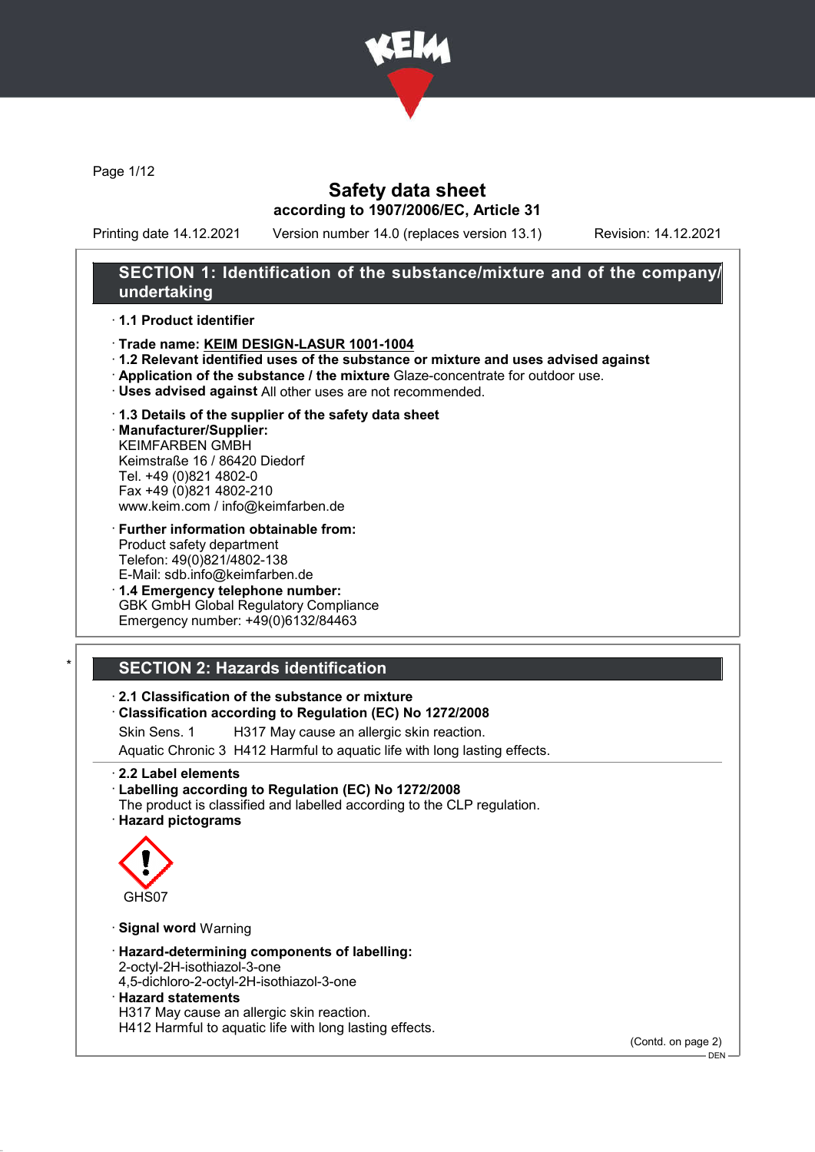

Page 1/12

## Safety data sheet according to 1907/2006/EC, Article 31

Printing date 14.12.2021 Version number 14.0 (replaces version 13.1) Revision: 14.12.2021

## SECTION 1: Identification of the substance/mixture and of the company/ undertaking

#### · 1.1 Product identifier

- · Trade name: KEIM DESIGN-LASUR 1001-1004
- · 1.2 Relevant identified uses of the substance or mixture and uses advised against
- · Application of the substance / the mixture Glaze-concentrate for outdoor use.
- · Uses advised against All other uses are not recommended.
- · 1.3 Details of the supplier of the safety data sheet

· Manufacturer/Supplier: KEIMFARBEN GMBH Keimstraße 16 / 86420 Diedorf Tel. +49 (0)821 4802-0 Fax +49 (0)821 4802-210 www.keim.com / info@keimfarben.de

- · Further information obtainable from: Product safety department Telefon: 49(0)821/4802-138 E-Mail: sdb.info@keimfarben.de
- · 1.4 Emergency telephone number: GBK GmbH Global Regulatory Compliance Emergency number: +49(0)6132/84463

# **SECTION 2: Hazards identification**

#### · 2.1 Classification of the substance or mixture

· Classification according to Regulation (EC) No 1272/2008

Skin Sens. 1 H317 May cause an allergic skin reaction.

Aquatic Chronic 3 H412 Harmful to aquatic life with long lasting effects.

- · 2.2 Label elements
- · Labelling according to Regulation (EC) No 1272/2008 The product is classified and labelled according to the CLP regulation.
- · Hazard pictograms



· Signal word Warning

- · Hazard-determining components of labelling:
- 2-octyl-2H-isothiazol-3-one
- 4,5-dichloro-2-octyl-2H-isothiazol-3-one
- · Hazard statements

H317 May cause an allergic skin reaction.

H412 Harmful to aquatic life with long lasting effects.

(Contd. on page 2)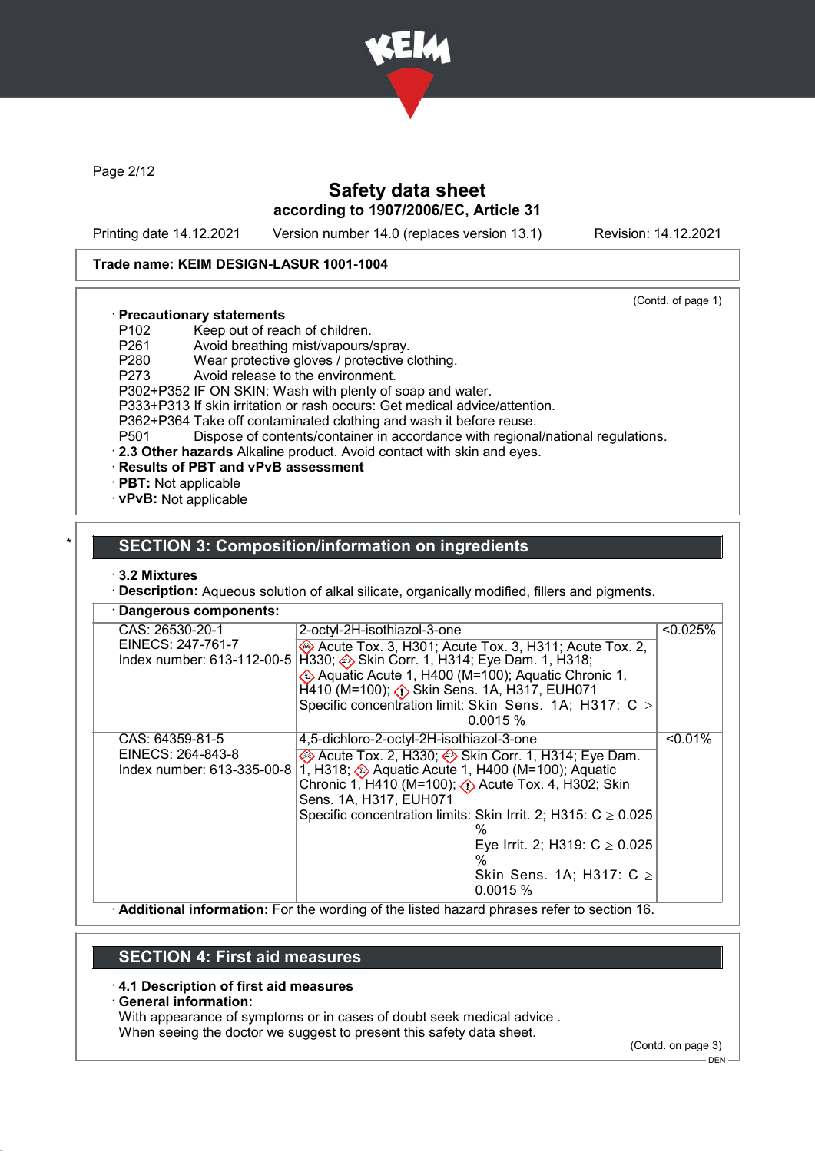

Page 2/12

# Safety data sheet according to 1907/2006/EC, Article 31

Printing date 14.12.2021 Version number 14.0 (replaces version 13.1) Revision: 14.12.2021

#### Trade name: KEIM DESIGN-LASUR 1001-1004

(Contd. of page 1)

#### · Precautionary statements

- P102 Keep out of reach of children.<br>P261 Avoid breathing mist/vapours/
- P261 Avoid breathing mist/vapours/spray.<br>P280 Wear protective gloves / protective of
- Wear protective gloves / protective clothing.
- P273 Avoid release to the environment.

P302+P352 IF ON SKIN: Wash with plenty of soap and water.

- P333+P313 If skin irritation or rash occurs: Get medical advice/attention.
- P362+P364 Take off contaminated clothing and wash it before reuse.
- P501 Dispose of contents/container in accordance with regional/national regulations.
- · 2.3 Other hazards Alkaline product. Avoid contact with skin and eyes.
- · Results of PBT and vPvB assessment
- · PBT: Not applicable
- · vPvB: Not applicable

## **SECTION 3: Composition/information on ingredients**

#### · 3.2 Mixtures

· Description: Aqueous solution of alkal silicate, organically modified, fillers and pigments.

| Dangerous components:                                              |                                                                                                                                                                                                                                                                                                                                                                                                                        |             |
|--------------------------------------------------------------------|------------------------------------------------------------------------------------------------------------------------------------------------------------------------------------------------------------------------------------------------------------------------------------------------------------------------------------------------------------------------------------------------------------------------|-------------|
| CAS: 26530-20-1<br>EINECS: 247-761-7                               | 2-octyl-2H-isothiazol-3-one<br>Acute Tox. 3, H301; Acute Tox. 3, H311; Acute Tox. 2,<br>Index number: 613-112-00-5 H330; ↔ Skin Corr. 1, H314; Eye Dam. 1, H318;<br>EXA Aquatic Acute 1, H400 (M=100); Aquatic Chronic 1,<br>$H$ 410 (M=100); $\langle \cdot \rangle$ Skin Sens. 1A, H317, EUH071<br>Specific concentration limit: Skin Sens. 1A; H317: C $\ge$<br>0.0015%                                             | $< 0.025\%$ |
| CAS: 64359-81-5<br>EINECS: 264-843-8<br>Index number: 613-335-00-8 | 4,5-dichloro-2-octyl-2H-isothiazol-3-one<br>Acute Tox. 2, H330; Skin Corr. 1, H314; Eye Dam.<br>1, H318; Aquatic Acute 1, H400 (M=100); Aquatic<br>Chronic 1, H410 (M=100); $\langle \cdot \rangle$ Acute Tox. 4, H302; Skin<br>Sens. 1A, H317, EUH071<br>Specific concentration limits: Skin Irrit. 2; H315: $C \ge 0.025$<br>%<br>Eye Irrit. 2; H319: $C \ge 0.025$<br>%<br>Skin Sens. 1A; H317: $C \geq$<br>0.0015% | $< 0.01\%$  |

· Additional information: For the wording of the listed hazard phrases refer to section 16.

## SECTION 4: First aid measures

#### · 4.1 Description of first aid measures

#### · General information:

With appearance of symptoms or in cases of doubt seek medical advice .

When seeing the doctor we suggest to present this safety data sheet.

(Contd. on page 3)

 $-$  DEN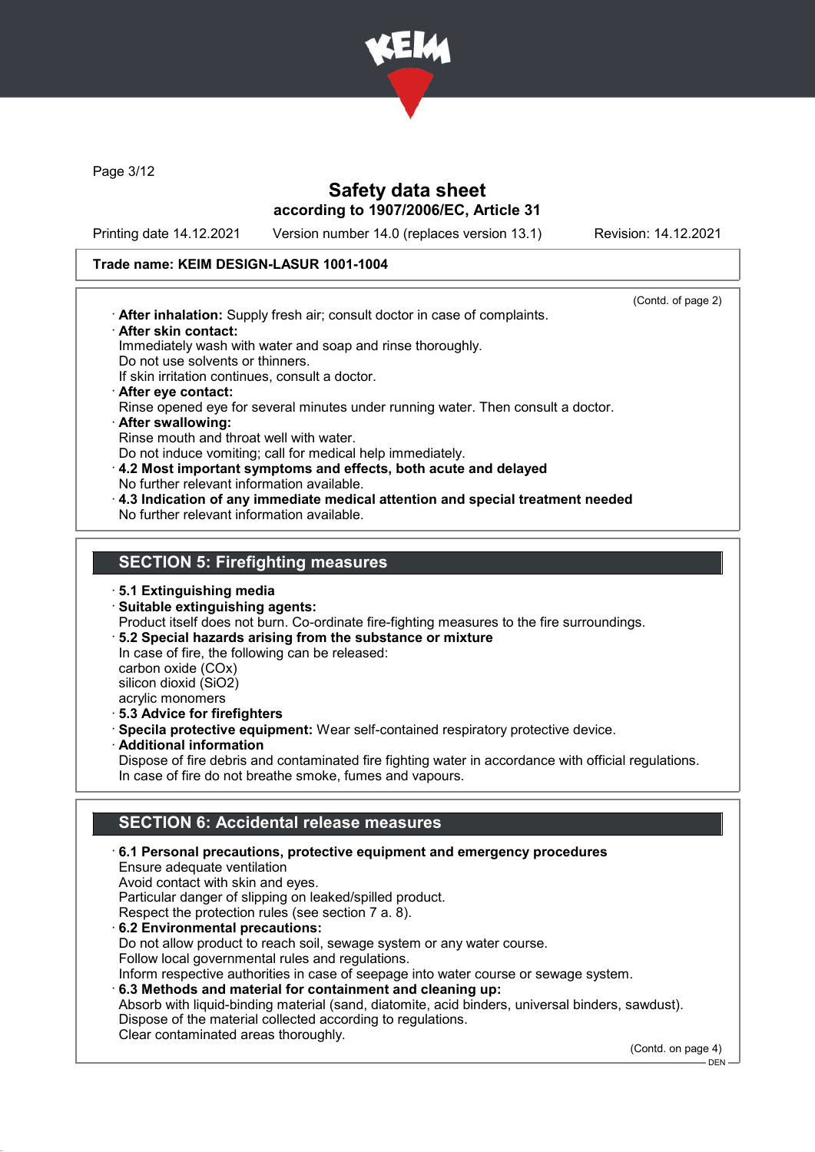

Page 3/12

## Safety data sheet according to 1907/2006/EC, Article 31

Printing date 14.12.2021 Version number 14.0 (replaces version 13.1) Revision: 14.12.2021

#### Trade name: KEIM DESIGN-LASUR 1001-1004

(Contd. of page 2) · After inhalation: Supply fresh air; consult doctor in case of complaints. · After skin contact: Immediately wash with water and soap and rinse thoroughly. Do not use solvents or thinners. If skin irritation continues, consult a doctor. · After eye contact: Rinse opened eye for several minutes under running water. Then consult a doctor. · After swallowing: Rinse mouth and throat well with water. Do not induce vomiting; call for medical help immediately. · 4.2 Most important symptoms and effects, both acute and delayed No further relevant information available. · 4.3 Indication of any immediate medical attention and special treatment needed No further relevant information available. SECTION 5: Firefighting measures · 5.1 Extinguishing media · Suitable extinguishing agents: Product itself does not burn. Co-ordinate fire-fighting measures to the fire surroundings. · 5.2 Special hazards arising from the substance or mixture

In case of fire, the following can be released: carbon oxide (COx) silicon dioxid (SiO2) acrylic monomers

· 5.3 Advice for firefighters

- · Specila protective equipment: Wear self-contained respiratory protective device.
- Additional information

Dispose of fire debris and contaminated fire fighting water in accordance with official regulations. In case of fire do not breathe smoke, fumes and vapours.

## SECTION 6: Accidental release measures

· 6.1 Personal precautions, protective equipment and emergency procedures Ensure adequate ventilation Avoid contact with skin and eyes. Particular danger of slipping on leaked/spilled product. Respect the protection rules (see section 7 a. 8). · 6.2 Environmental precautions: Do not allow product to reach soil, sewage system or any water course. Follow local governmental rules and regulations. Inform respective authorities in case of seepage into water course or sewage system. · 6.3 Methods and material for containment and cleaning up: Absorb with liquid-binding material (sand, diatomite, acid binders, universal binders, sawdust). Dispose of the material collected according to regulations. Clear contaminated areas thoroughly.

(Contd. on page 4)

DEN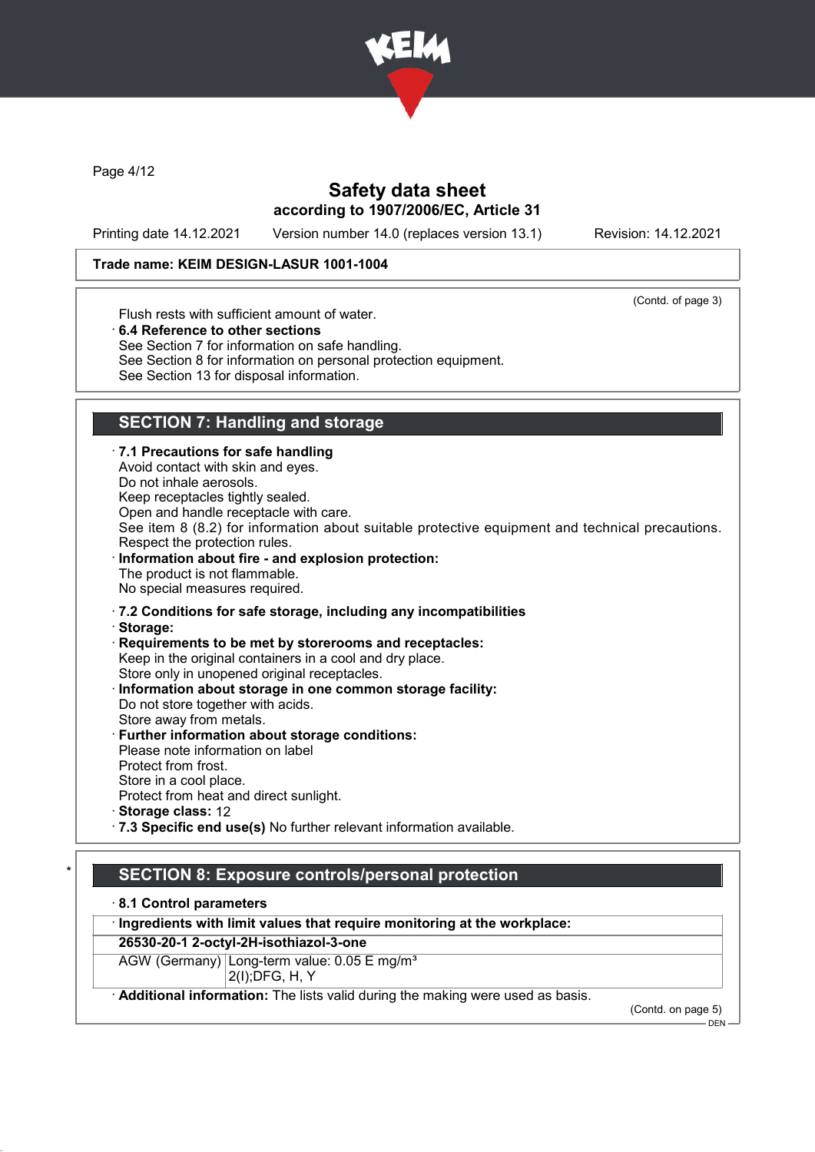

Page 4/12

# Safety data sheet according to 1907/2006/EC, Article 31

Printing date 14.12.2021 Version number 14.0 (replaces version 13.1) Revision: 14.12.2021

#### Trade name: KEIM DESIGN-LASUR 1001-1004

(Contd. of page 3)

Flush rests with sufficient amount of water.

· 6.4 Reference to other sections

See Section 7 for information on safe handling.

See Section 8 for information on personal protection equipment.

See Section 13 for disposal information.

# SECTION 7: Handling and storage

· 7.1 Precautions for safe handling Avoid contact with skin and eyes. Do not inhale aerosols. Keep receptacles tightly sealed. Open and handle receptacle with care. See item 8 (8.2) for information about suitable protective equipment and technical precautions. Respect the protection rules. Information about fire - and explosion protection: The product is not flammable. No special measures required. · 7.2 Conditions for safe storage, including any incompatibilities · Storage: · Requirements to be met by storerooms and receptacles: Keep in the original containers in a cool and dry place. Store only in unopened original receptacles. Information about storage in one common storage facility: Do not store together with acids. Store away from metals. · Further information about storage conditions: Please note information on label Protect from frost. Store in a cool place. Protect from heat and direct sunlight. · Storage class: 12 · 7.3 Specific end use(s) No further relevant information available.

## SECTION 8: Exposure controls/personal protection

· 8.1 Control parameters

· Ingredients with limit values that require monitoring at the workplace:

#### 26530-20-1 2-octyl-2H-isothiazol-3-one

AGW (Germany) Long-term value: 0.05 E mg/m<sup>3</sup> 2(I);DFG, H, Y

· Additional information: The lists valid during the making were used as basis.

(Contd. on page 5)  $-$  DFN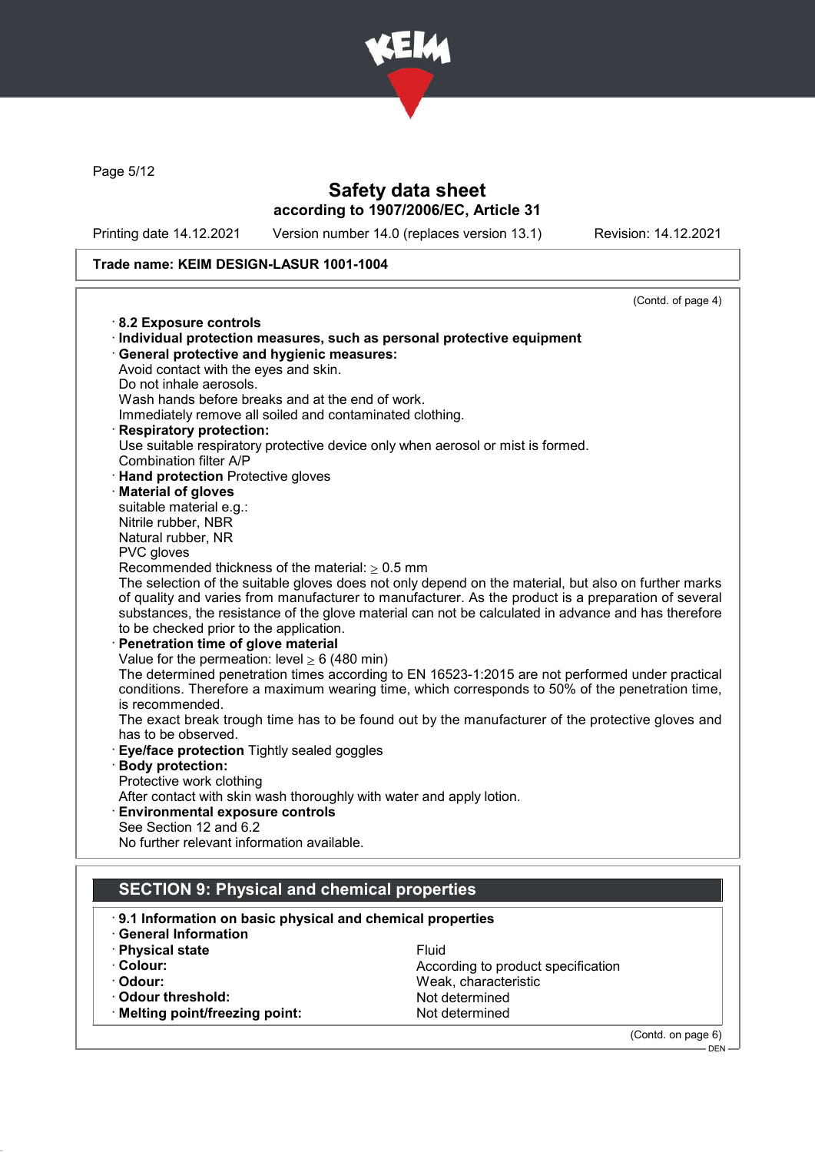

Page 5/12

# Safety data sheet according to 1907/2006/EC, Article 31

Printing date 14.12.2021 Version number 14.0 (replaces version 13.1) Revision: 14.12.2021

(Contd. on page 6)

DEN

## Trade name: KEIM DESIGN-LASUR 1001-1004

|                                                                         | (Contd. of page 4)                                                                                                                                                                                 |
|-------------------------------------------------------------------------|----------------------------------------------------------------------------------------------------------------------------------------------------------------------------------------------------|
| 8.2 Exposure controls                                                   |                                                                                                                                                                                                    |
| · Individual protection measures, such as personal protective equipment |                                                                                                                                                                                                    |
| · General protective and hygienic measures:                             |                                                                                                                                                                                                    |
| Avoid contact with the eyes and skin.                                   |                                                                                                                                                                                                    |
| Do not inhale aerosols.                                                 |                                                                                                                                                                                                    |
| Wash hands before breaks and at the end of work.                        |                                                                                                                                                                                                    |
| Immediately remove all soiled and contaminated clothing.                |                                                                                                                                                                                                    |
| <b>Respiratory protection:</b>                                          |                                                                                                                                                                                                    |
|                                                                         | Use suitable respiratory protective device only when aerosol or mist is formed.                                                                                                                    |
| Combination filter A/P                                                  |                                                                                                                                                                                                    |
| · Hand protection Protective gloves                                     |                                                                                                                                                                                                    |
| <b>Material of gloves</b>                                               |                                                                                                                                                                                                    |
| suitable material e.g.:                                                 |                                                                                                                                                                                                    |
| Nitrile rubber, NBR                                                     |                                                                                                                                                                                                    |
| Natural rubber, NR                                                      |                                                                                                                                                                                                    |
| PVC gloves                                                              |                                                                                                                                                                                                    |
| Recommended thickness of the material: $\geq 0.5$ mm                    |                                                                                                                                                                                                    |
|                                                                         | The selection of the suitable gloves does not only depend on the material, but also on further marks                                                                                               |
|                                                                         | of quality and varies from manufacturer to manufacturer. As the product is a preparation of several                                                                                                |
|                                                                         | substances, the resistance of the glove material can not be calculated in advance and has therefore                                                                                                |
| to be checked prior to the application.                                 |                                                                                                                                                                                                    |
| Penetration time of glove material                                      |                                                                                                                                                                                                    |
| Value for the permeation: level $\geq 6$ (480 min)                      |                                                                                                                                                                                                    |
|                                                                         | The determined penetration times according to EN 16523-1:2015 are not performed under practical<br>conditions. Therefore a maximum wearing time, which corresponds to 50% of the penetration time, |
| is recommended.                                                         |                                                                                                                                                                                                    |
|                                                                         | The exact break trough time has to be found out by the manufacturer of the protective gloves and                                                                                                   |
| has to be observed.                                                     |                                                                                                                                                                                                    |
| Eye/face protection Tightly sealed goggles                              |                                                                                                                                                                                                    |
| <b>Body protection:</b>                                                 |                                                                                                                                                                                                    |
| Protective work clothing                                                |                                                                                                                                                                                                    |
| After contact with skin wash thoroughly with water and apply lotion.    |                                                                                                                                                                                                    |
| <b>Environmental exposure controls</b>                                  |                                                                                                                                                                                                    |
| See Section 12 and 6.2                                                  |                                                                                                                                                                                                    |
| No further relevant information available.                              |                                                                                                                                                                                                    |
|                                                                         |                                                                                                                                                                                                    |
|                                                                         |                                                                                                                                                                                                    |
| <b>SECTION 9: Physical and chemical properties</b>                      |                                                                                                                                                                                                    |
| 9.1 Information on basic physical and chemical properties               |                                                                                                                                                                                                    |
| <b>General Information</b>                                              |                                                                                                                                                                                                    |
| · Physical state                                                        | Fluid                                                                                                                                                                                              |
| · Colour:                                                               | According to product specification                                                                                                                                                                 |
| · Odour:                                                                | Weak, characteristic                                                                                                                                                                               |

Weak, characteristic<br>Not determined

· Odour threshold:<br>· Melting point/freezing point: Not determined

 $\cdot$  Melting point/freezing point: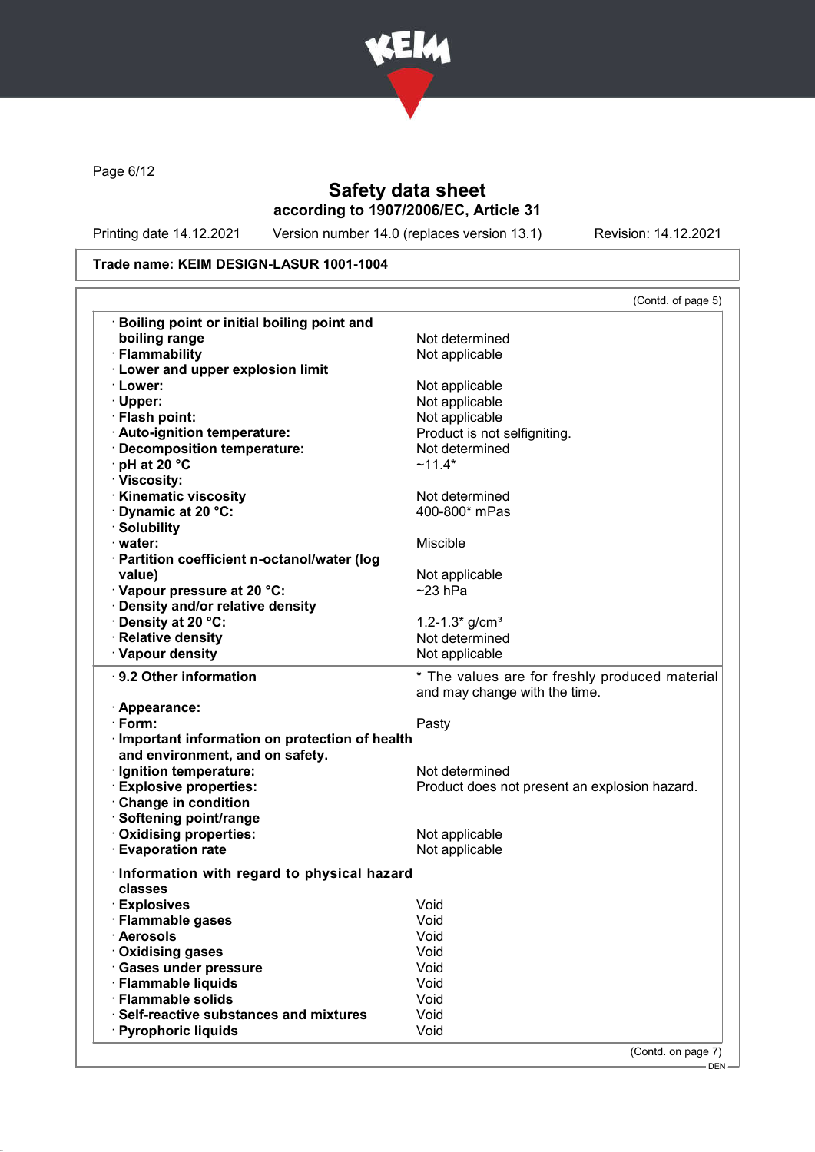

Page 6/12

# Safety data sheet according to 1907/2006/EC, Article 31

Printing date 14.12.2021 Version number 14.0 (replaces version 13.1) Revision: 14.12.2021

## Trade name: KEIM DESIGN-LASUR 1001-1004

|                                                                                                | (Contd. of page 5)                                                              |
|------------------------------------------------------------------------------------------------|---------------------------------------------------------------------------------|
| Boiling point or initial boiling point and                                                     |                                                                                 |
| boiling range                                                                                  | Not determined                                                                  |
| · Flammability                                                                                 | Not applicable                                                                  |
| <b>Lower and upper explosion limit</b>                                                         |                                                                                 |
| · Lower:                                                                                       | Not applicable                                                                  |
| · Upper:                                                                                       | Not applicable                                                                  |
| · Flash point:                                                                                 | Not applicable                                                                  |
| · Auto-ignition temperature:                                                                   | Product is not selfigniting.                                                    |
| · Decomposition temperature:                                                                   | Not determined                                                                  |
| · pH at 20 °C                                                                                  | $~11.4*$                                                                        |
| · Viscosity:                                                                                   |                                                                                 |
| · Kinematic viscosity                                                                          | Not determined                                                                  |
| Dynamic at 20 °C:                                                                              | 400-800* mPas                                                                   |
| · Solubility                                                                                   |                                                                                 |
| · water:                                                                                       | Miscible                                                                        |
| · Partition coefficient n-octanol/water (log                                                   |                                                                                 |
| value)                                                                                         | Not applicable                                                                  |
| · Vapour pressure at 20 °C:                                                                    | $~23$ hPa                                                                       |
| Density and/or relative density                                                                |                                                                                 |
| · Density at 20 °C:                                                                            | 1.2-1.3* $q/cm3$                                                                |
| · Relative density                                                                             | Not determined                                                                  |
| · Vapour density                                                                               | Not applicable                                                                  |
| · 9.2 Other information                                                                        | * The values are for freshly produced material<br>and may change with the time. |
| · Appearance:                                                                                  |                                                                                 |
| · Form:                                                                                        | Pasty                                                                           |
| · Important information on protection of health                                                |                                                                                 |
|                                                                                                |                                                                                 |
| and environment, and on safety.                                                                |                                                                                 |
|                                                                                                | Not determined                                                                  |
|                                                                                                | Product does not present an explosion hazard.                                   |
| · Ignition temperature:<br><b>Explosive properties:</b><br>Change in condition                 |                                                                                 |
| · Softening point/range                                                                        |                                                                                 |
| Oxidising properties:                                                                          | Not applicable                                                                  |
| <b>Evaporation rate</b>                                                                        | Not applicable                                                                  |
| Information with regard to physical hazard                                                     |                                                                                 |
| classes                                                                                        |                                                                                 |
|                                                                                                | Void                                                                            |
|                                                                                                |                                                                                 |
|                                                                                                | Void                                                                            |
|                                                                                                | Void                                                                            |
|                                                                                                | Void                                                                            |
| · Explosives<br>· Flammable gases<br>· Aerosols<br>· Oxidising gases<br>· Gases under pressure | Void                                                                            |
| · Flammable liquids                                                                            | Void                                                                            |
| · Flammable solids<br>· Self-reactive substances and mixtures                                  | Void<br>Void                                                                    |

DEN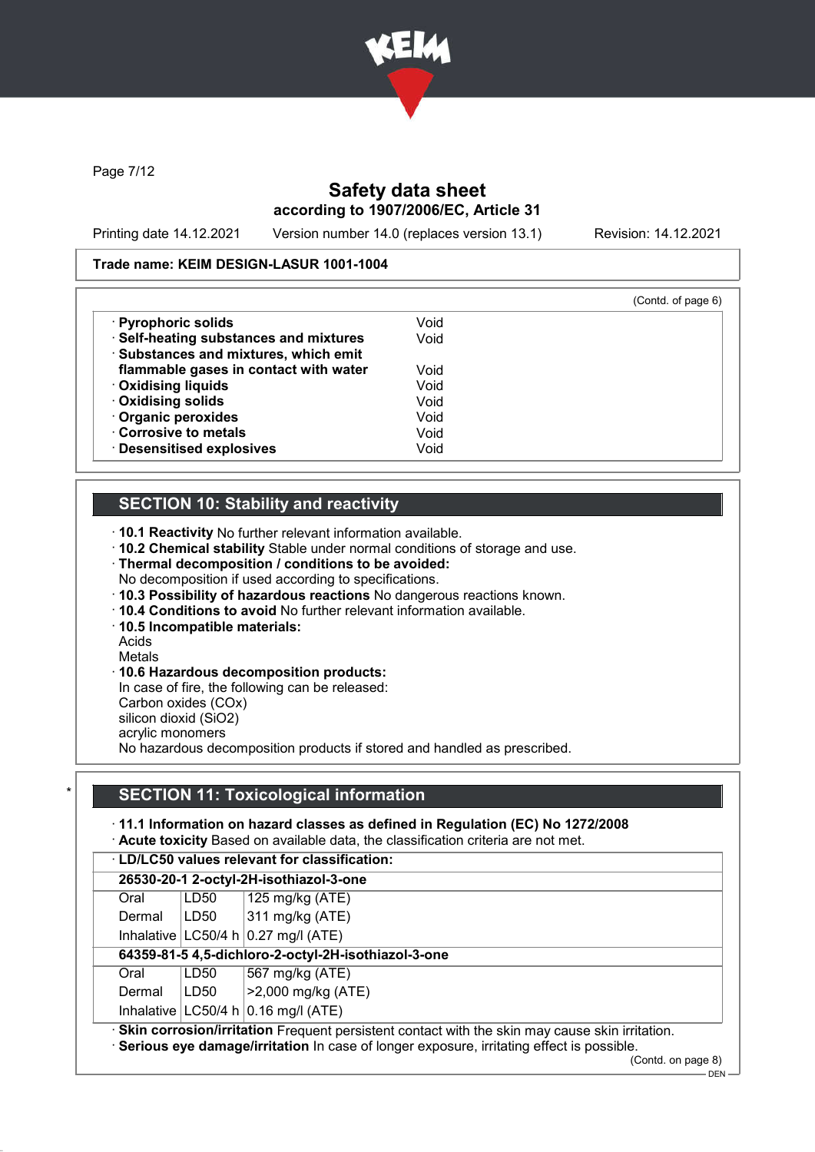

Page 7/12

# Safety data sheet according to 1907/2006/EC, Article 31

Printing date 14.12.2021 Version number 14.0 (replaces version 13.1) Revision: 14.12.2021

#### Trade name: KEIM DESIGN-LASUR 1001-1004

|                                        |      | (Contd. of page 6) |
|----------------------------------------|------|--------------------|
| · Pyrophoric solids                    | Void |                    |
| · Self-heating substances and mixtures | Void |                    |
| · Substances and mixtures, which emit  |      |                    |
| flammable gases in contact with water  | Void |                    |
| · Oxidising liquids                    | Void |                    |
| · Oxidising solids                     | Void |                    |
| Organic peroxides                      | Void |                    |
| Corrosive to metals                    | Void |                    |
| · Desensitised explosives              | Void |                    |

## SECTION 10: Stability and reactivity

· 10.1 Reactivity No further relevant information available.

· 10.2 Chemical stability Stable under normal conditions of storage and use.

- · Thermal decomposition / conditions to be avoided:
- No decomposition if used according to specifications.
- · 10.3 Possibility of hazardous reactions No dangerous reactions known.
- · 10.4 Conditions to avoid No further relevant information available.
- · 10.5 Incompatible materials:

Acids

Metals

## · 10.6 Hazardous decomposition products:

In case of fire, the following can be released: Carbon oxides (COx) silicon dioxid (SiO2)

acrylic monomers

No hazardous decomposition products if stored and handled as prescribed.

## **SECTION 11: Toxicological information**

## · 11.1 Information on hazard classes as defined in Regulation (EC) No 1272/2008

· Acute toxicity Based on available data, the classification criteria are not met.

| <b>LD/LC50 values relevant for classification:</b> |      |                         |  |
|----------------------------------------------------|------|-------------------------|--|
| 26530-20-1 2-octyl-2H-isothiazol-3-one             |      |                         |  |
| Oral                                               | LD50 | $\vert$ 125 mg/kg (ATE) |  |

| Dermal | LD50 | $ 311 \text{ mg/kg}$ (ATE)                                                                       |
|--------|------|--------------------------------------------------------------------------------------------------|
|        |      | Inhalative $ LG50/4 h 0.27 mg/l (ATE)$                                                           |
|        |      | 64359-81-5 4,5-dichloro-2-octyl-2H-isothiazol-3-one                                              |
| Oral   | LD50 | 567 mg/kg (ATE)                                                                                  |
| Dermal | LD50 | $  > 2,000 \text{ mg/kg}$ (ATE)                                                                  |
|        |      | Inhalative $ LC50/4 h 0.16 mg/l (ATE)$                                                           |
|        |      | · Skin corrosion/irritation Frequent persistent contact with the skin may cause skin irritation. |

· Serious eye damage/irritation In case of longer exposure, irritating effect is possible.

<sup>(</sup>Contd. on page 8)

 $-$  DEN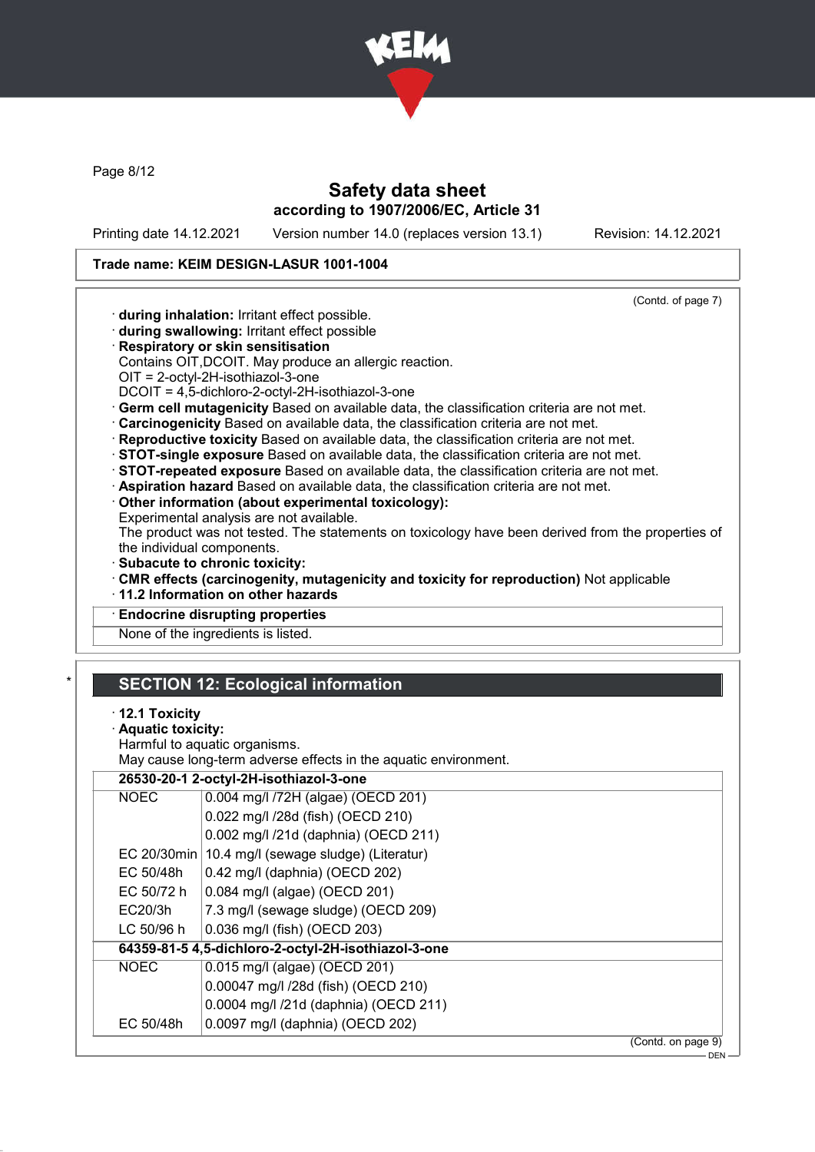

Page 8/12

## Safety data sheet according to 1907/2006/EC, Article 31

Printing date 14.12.2021 Version number 14.0 (replaces version 13.1) Revision: 14.12.2021

#### Trade name: KEIM DESIGN-LASUR 1001-1004

· during inhalation: Irritant effect possible. · during swallowing: Irritant effect possible

· Respiratory or skin sensitisation

OIT = 2-octyl-2H-isothiazol-3-one

(Contd. of page 7) Contains OIT,DCOIT. May produce an allergic reaction.

- · Germ cell mutagenicity Based on available data, the classification criteria are not met. · Carcinogenicity Based on available data, the classification criteria are not met.
- · Reproductive toxicity Based on available data, the classification criteria are not met.
- · STOT-single exposure Based on available data, the classification criteria are not met.
- · STOT-repeated exposure Based on available data, the classification criteria are not met.
- · Aspiration hazard Based on available data, the classification criteria are not met.
- · Other information (about experimental toxicology):

DCOIT = 4,5-dichloro-2-octyl-2H-isothiazol-3-one

Experimental analysis are not available.

The product was not tested. The statements on toxicology have been derived from the properties of the individual components.

- · Subacute to chronic toxicity:
- · CMR effects (carcinogenity, mutagenicity and toxicity for reproduction) Not applicable
- · 11.2 Information on other hazards
- **Endocrine disrupting properties**

None of the ingredients is listed.

## **SECTION 12: Ecological information**

#### · 12.1 Toxicity

#### Aquatic toxicity:

Harmful to aquatic organisms.

May cause long-term adverse effects in the aquatic environment.

|             | 26530-20-1 2-octyl-2H-isothiazol-3-one              |                    |  |
|-------------|-----------------------------------------------------|--------------------|--|
| <b>NOEC</b> | 0.004 mg/l /72H (algae) (OECD 201)                  |                    |  |
|             | 0.022 mg/l /28d (fish) (OECD 210)                   |                    |  |
|             | 0.002 mg/l /21d (daphnia) (OECD 211)                |                    |  |
|             | EC 20/30min   10.4 mg/l (sewage sludge) (Literatur) |                    |  |
| EC 50/48h   | 0.42 mg/l (daphnia) (OECD 202)                      |                    |  |
| EC 50/72 h  | 0.084 mg/l (algae) (OECD 201)                       |                    |  |
| EC20/3h     | 7.3 mg/l (sewage sludge) (OECD 209)                 |                    |  |
| LC 50/96 h  | 0.036 mg/l (fish) (OECD 203)                        |                    |  |
|             | 64359-81-5 4,5-dichloro-2-octyl-2H-isothiazol-3-one |                    |  |
| <b>NOEC</b> | 0.015 mg/l (algae) (OECD 201)                       |                    |  |
|             | 0.00047 mg/l /28d (fish) (OECD 210)                 |                    |  |
|             | 0.0004 mg/l /21d (daphnia) (OECD 211)               |                    |  |
| EC 50/48h   | 0.0097 mg/l (daphnia) (OECD 202)                    |                    |  |
|             |                                                     | (Contd. on page 9) |  |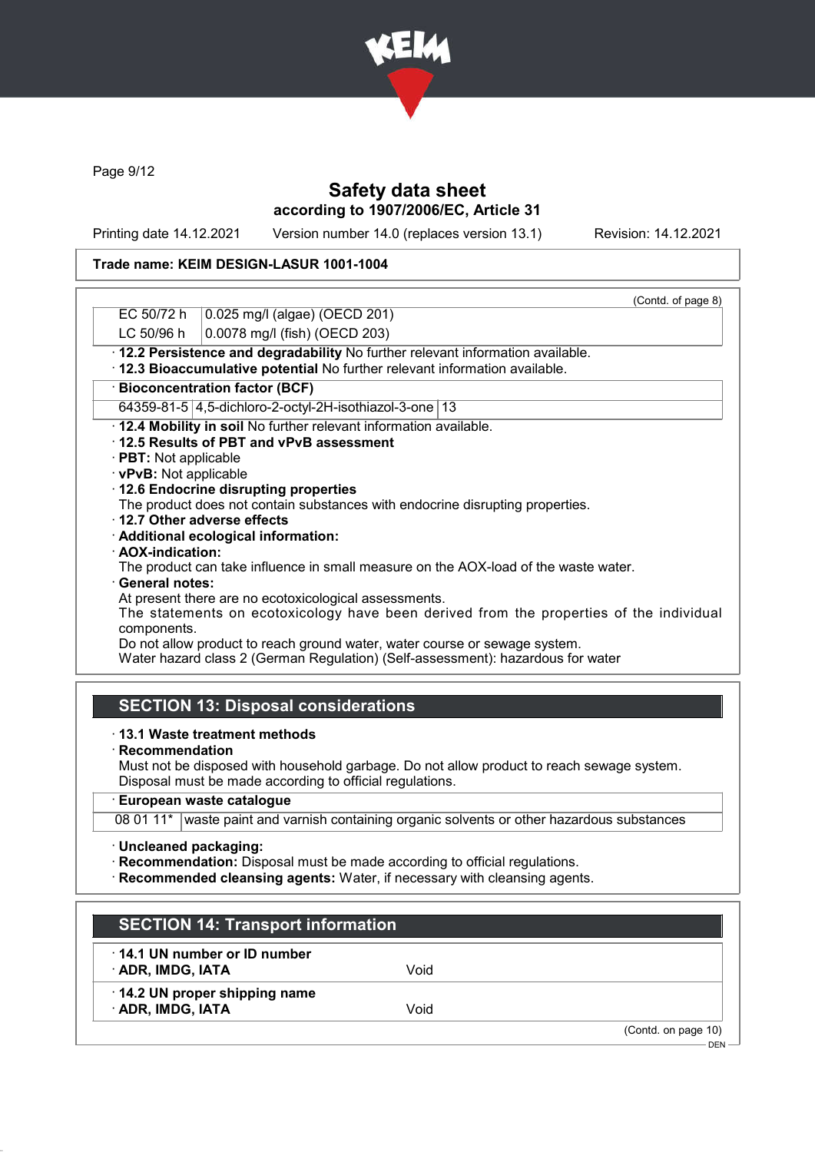

Page 9/12

# Safety data sheet according to 1907/2006/EC, Article 31

Printing date 14.12.2021 Version number 14.0 (replaces version 13.1) Revision: 14.12.2021

## Trade name: KEIM DESIGN-LASUR 1001-1004

|                        |                                                                                         | (Contd. of page 8) |
|------------------------|-----------------------------------------------------------------------------------------|--------------------|
| EC 50/72 h             | 0.025 mg/l (algae) (OECD 201)                                                           |                    |
| LC 50/96 h             | 0.0078 mg/l (fish) (OECD 203)                                                           |                    |
|                        | · 12.2 Persistence and degradability No further relevant information available.         |                    |
|                        | · 12.3 Bioaccumulative potential No further relevant information available.             |                    |
|                        | <b>Bioconcentration factor (BCF)</b>                                                    |                    |
|                        | 64359-81-5 4,5-dichloro-2-octyl-2H-isothiazol-3-one   13                                |                    |
|                        | . 12.4 Mobility in soil No further relevant information available.                      |                    |
|                        | 12.5 Results of PBT and vPvB assessment                                                 |                    |
| · PBT: Not applicable  |                                                                                         |                    |
| · vPvB: Not applicable |                                                                                         |                    |
|                        | 12.6 Endocrine disrupting properties                                                    |                    |
|                        | The product does not contain substances with endocrine disrupting properties.           |                    |
|                        | ⋅12.7 Other adverse effects                                                             |                    |
|                        | · Additional ecological information:                                                    |                    |
| · AOX-indication:      |                                                                                         |                    |
|                        | The product can take influence in small measure on the AOX-load of the waste water.     |                    |
| · General notes:       |                                                                                         |                    |
|                        | At present there are no ecotoxicological assessments.                                   |                    |
|                        | The statements on ecotoxicology have been derived from the properties of the individual |                    |
| components.            |                                                                                         |                    |
|                        | Do not allow product to reach ground water, water course or sewage system.              |                    |
|                        | Water hazard class 2 (German Regulation) (Self-assessment): hazardous for water         |                    |
|                        |                                                                                         |                    |
|                        | <b>SECTION 13: Disposal considerations</b>                                              |                    |
|                        |                                                                                         |                    |
|                        |                                                                                         |                    |

#### · 13.1 Waste treatment methods

· Recommendation

Must not be disposed with household garbage. Do not allow product to reach sewage system. Disposal must be made according to official regulations.

## · European waste catalogue

08 01 11\* waste paint and varnish containing organic solvents or other hazardous substances

· Uncleaned packaging:

· Recommendation: Disposal must be made according to official regulations.

· Recommended cleansing agents: Water, if necessary with cleansing agents.

| <b>SECTION 14: Transport information</b>          |      |                                |
|---------------------------------------------------|------|--------------------------------|
| 14.1 UN number or ID number<br>· ADR, IMDG, IATA  | Void |                                |
| 14.2 UN proper shipping name<br>· ADR, IMDG, IATA | Void |                                |
|                                                   |      | (Contd. on page 10)<br>$DFN -$ |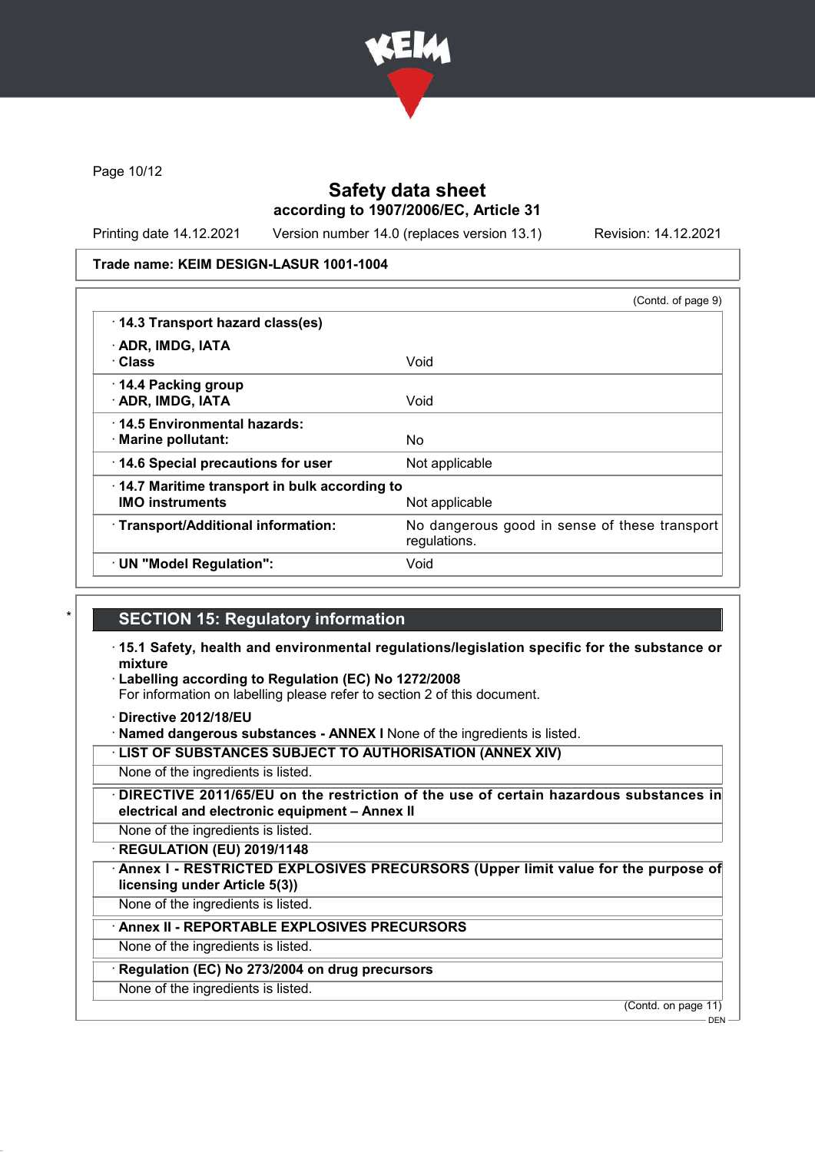

Page 10/12

## Safety data sheet according to 1907/2006/EC, Article 31

Printing date 14.12.2021 Version number 14.0 (replaces version 13.1) Revision: 14.12.2021

#### Trade name: KEIM DESIGN-LASUR 1001-1004

|                                              | (Contd. of page 9)                                            |
|----------------------------------------------|---------------------------------------------------------------|
| 14.3 Transport hazard class(es)              |                                                               |
| · ADR, IMDG, IATA                            |                                                               |
| · Class                                      | Void                                                          |
| 14.4 Packing group<br>· ADR, IMDG, IATA      | Void                                                          |
| 14.5 Environmental hazards:                  |                                                               |
| · Marine pollutant:                          | No                                                            |
| 14.6 Special precautions for user            | Not applicable                                                |
| 14.7 Maritime transport in bulk according to |                                                               |
| <b>IMO instruments</b>                       | Not applicable                                                |
| · Transport/Additional information:          | No dangerous good in sense of these transport<br>regulations. |
| · UN "Model Regulation":                     | Void                                                          |

## **SECTION 15: Regulatory information**

- · 15.1 Safety, health and environmental regulations/legislation specific for the substance or mixture
- · Labelling according to Regulation (EC) No 1272/2008

For information on labelling please refer to section 2 of this document.

· Directive 2012/18/EU

· Named dangerous substances - ANNEX I None of the ingredients is listed.

· LIST OF SUBSTANCES SUBJECT TO AUTHORISATION (ANNEX XIV)

None of the ingredients is listed.

· DIRECTIVE 2011/65/EU on the restriction of the use of certain hazardous substances in electrical and electronic equipment – Annex II

None of the ingredients is listed.

· REGULATION (EU) 2019/1148

Annex I - RESTRICTED EXPLOSIVES PRECURSORS (Upper limit value for the purpose of licensing under Article 5(3))

None of the ingredients is listed.

Annex II - REPORTABLE EXPLOSIVES PRECURSORS

None of the ingredients is listed.

#### Regulation (EC) No 273/2004 on drug precursors

None of the ingredients is listed.

(Contd. on page 11)

**DEN**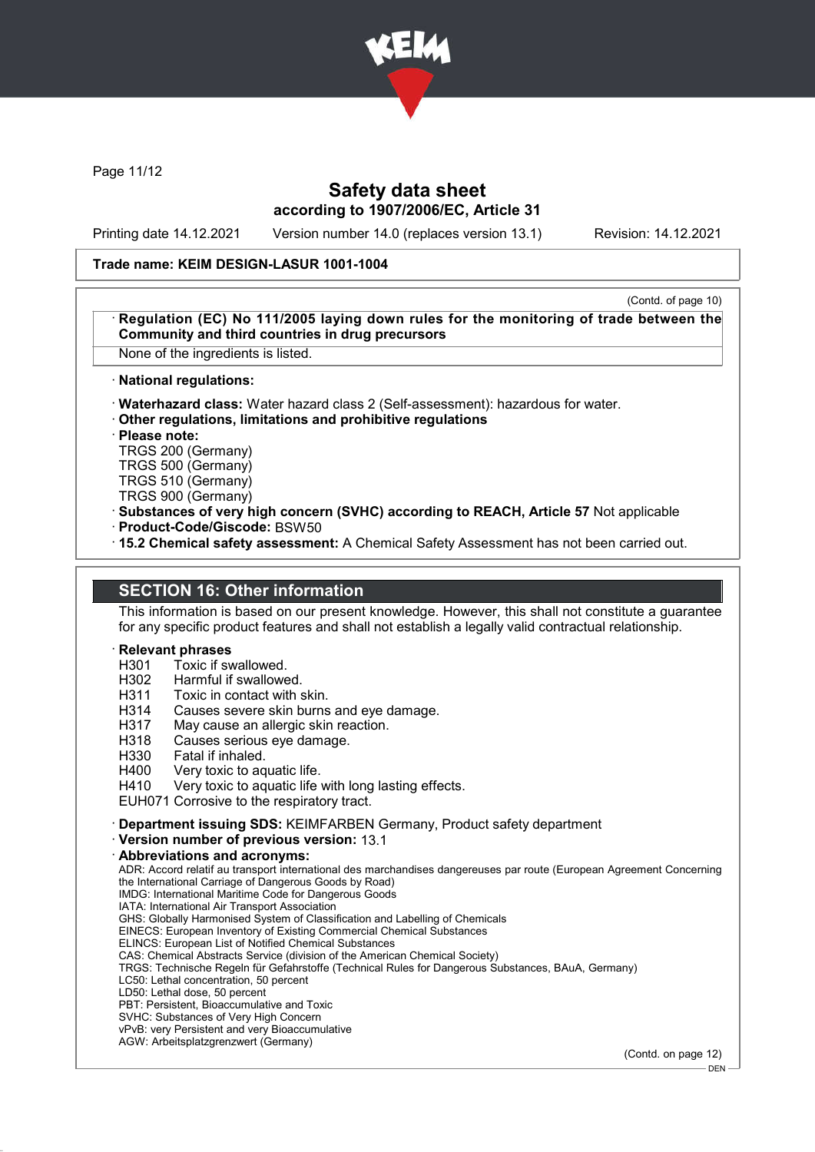

Page 11/12

## Safety data sheet according to 1907/2006/EC, Article 31

Printing date 14.12.2021 Version number 14.0 (replaces version 13.1) Revision: 14.12.2021

#### Trade name: KEIM DESIGN-LASUR 1001-1004

(Contd. of page 10) Regulation (EC) No 111/2005 laying down rules for the monitoring of trade between the Community and third countries in drug precursors

None of the ingredients is listed.

#### · National regulations:

· Waterhazard class: Water hazard class 2 (Self-assessment): hazardous for water.

· Other regulations, limitations and prohibitive regulations

· Please note:

TRGS 200 (Germany) TRGS 500 (Germany) TRGS 510 (Germany)

TRGS 900 (Germany)

· Substances of very high concern (SVHC) according to REACH, Article 57 Not applicable

· Product-Code/Giscode: BSW50

· 15.2 Chemical safety assessment: A Chemical Safety Assessment has not been carried out.

#### SECTION 16: Other information

This information is based on our present knowledge. However, this shall not constitute a guarantee for any specific product features and shall not establish a legally valid contractual relationship.

# **Relevant phrases**<br>H301 Toxic if sy

Toxic if swallowed.

H<sub>302</sub> Harmful if swallowed.<br>H<sub>311</sub> Toxic in contact with s

- H311 Toxic in contact with skin.<br>H314 Causes severe skin burns
- H314 Causes severe skin burns and eye damage.<br>H317 May cause an allergic skin reaction.
- May cause an allergic skin reaction.
- H318 Causes serious eye damage.
- H330 Fatal if inhaled.<br>H400 Very toxic to ag
- H400 Very toxic to aquatic life.<br>H410 Very toxic to aquatic life

Very toxic to aquatic life with long lasting effects.

EUH071 Corrosive to the respiratory tract.

· Department issuing SDS: KEIMFARBEN Germany, Product safety department

· Version number of previous version: 13.1

#### · Abbreviations and acronyms:

ADR: Accord relatif au transport international des marchandises dangereuses par route (European Agreement Concerning the International Carriage of Dangerous Goods by Road) IMDG: International Maritime Code for Dangerous Goods

IATA: International Air Transport Association

GHS: Globally Harmonised System of Classification and Labelling of Chemicals

EINECS: European Inventory of Existing Commercial Chemical Substances

ELINCS: European List of Notified Chemical Substances

CAS: Chemical Abstracts Service (division of the American Chemical Society)

TRGS: Technische Regeln für Gefahrstoffe (Technical Rules for Dangerous Substances, BAuA, Germany)

LC50: Lethal concentration, 50 percent

LD50: Lethal dose, 50 percent

PBT: Persistent, Bioaccumulative and Toxic

SVHC: Substances of Very High Concern vPvB: very Persistent and very Bioaccumulative

AGW: Arbeitsplatzgrenzwert (Germany)

(Contd. on page 12)

<sup>-</sup> DEN